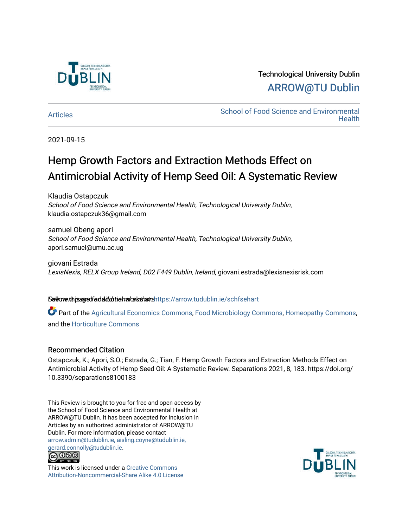

# Technological University Dublin [ARROW@TU Dublin](https://arrow.tudublin.ie/)

[Articles](https://arrow.tudublin.ie/schfsehart) **School of Food Science and Environmental Health** 

2021-09-15

# Hemp Growth Factors and Extraction Methods Effect on Antimicrobial Activity of Hemp Seed Oil: A Systematic Review

Klaudia Ostapczuk School of Food Science and Environmental Health, Technological University Dublin, klaudia.ostapczuk36@gmail.com

samuel Obeng apori School of Food Science and Environmental Health, Technological University Dublin, apori.samuel@umu.ac.ug

giovani Estrada LexisNexis, RELX Group Ireland, D02 F449 Dublin, Ireland, giovani.estrada@lexisnexisrisk.com

## Sellow this age dfadditional and authors https://arrow.tudublin.ie/schfsehart

Part of the [Agricultural Economics Commons,](http://network.bepress.com/hgg/discipline/1225?utm_source=arrow.tudublin.ie%2Fschfsehart%2F412&utm_medium=PDF&utm_campaign=PDFCoverPages) [Food Microbiology Commons](http://network.bepress.com/hgg/discipline/86?utm_source=arrow.tudublin.ie%2Fschfsehart%2F412&utm_medium=PDF&utm_campaign=PDFCoverPages), [Homeopathy Commons](http://network.bepress.com/hgg/discipline/1436?utm_source=arrow.tudublin.ie%2Fschfsehart%2F412&utm_medium=PDF&utm_campaign=PDFCoverPages), and the [Horticulture Commons](http://network.bepress.com/hgg/discipline/105?utm_source=arrow.tudublin.ie%2Fschfsehart%2F412&utm_medium=PDF&utm_campaign=PDFCoverPages) 

## Recommended Citation

Ostapczuk, K.; Apori, S.O.; Estrada, G.; Tian, F. Hemp Growth Factors and Extraction Methods Effect on Antimicrobial Activity of Hemp Seed Oil: A Systematic Review. Separations 2021, 8, 183. https://doi.org/ 10.3390/separations8100183

This Review is brought to you for free and open access by the School of Food Science and Environmental Health at ARROW@TU Dublin. It has been accepted for inclusion in Articles by an authorized administrator of ARROW@TU Dublin. For more information, please contact [arrow.admin@tudublin.ie, aisling.coyne@tudublin.ie,](mailto:arrow.admin@tudublin.ie,%20aisling.coyne@tudublin.ie,%20gerard.connolly@tudublin.ie)  [gerard.connolly@tudublin.ie](mailto:arrow.admin@tudublin.ie,%20aisling.coyne@tudublin.ie,%20gerard.connolly@tudublin.ie).



This work is licensed under a [Creative Commons](http://creativecommons.org/licenses/by-nc-sa/4.0/) [Attribution-Noncommercial-Share Alike 4.0 License](http://creativecommons.org/licenses/by-nc-sa/4.0/)

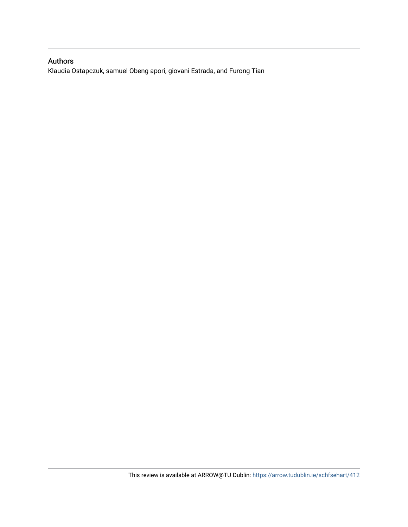# Authors

Klaudia Ostapczuk, samuel Obeng apori, giovani Estrada, and Furong Tian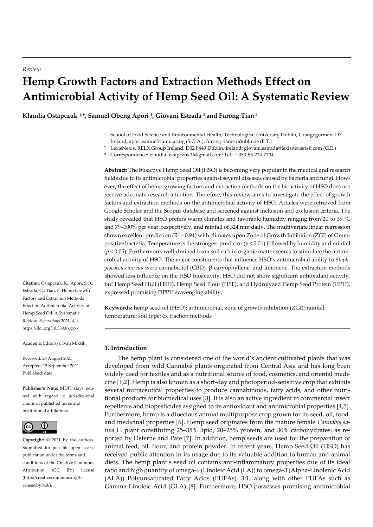# **Hemp Growth Factors and Extraction Methods Effect on Antimicrobial Activity of Hemp Seed Oil: A Systematic Review**

**Klaudia Ostapczuk 1,\*, Samuel Obeng Apori <sup>1</sup> , Giovani Estrada <sup>2</sup> and Furong Tian <sup>1</sup>**

- <sup>1</sup> School of Food Science and Environmental Health, Technological University Dublin, Grangegorman, D7, Ireland; apori.samuel@umu.ac.ug (S.O.A.); furong.tian@tudublin.ie (F.T.)
- <sup>2</sup> LexisNexis, RELX Group Ireland, D02 F449 Dublin, Ireland; giovani.estrada@lexisnexisrisk.com (G.E.)
- **\*** Correspondence: klaudia.ostapczuk36@gmail.com; Tel.: + 353-85-224-7734

**Abstract:** The bioactive Hemp Seed Oil (HSO) is becoming very popular in the medical and research fields due to its antimicrobial properties against several diseases caused by bacteria and fungi. However, the effect of hemp-growing factors and extraction methods on the bioactivity of HSO does not receive adequate research attention. Therefore, this review aims to investigate the effect of growth factors and extraction methods on the antimicrobial activity of HSO. Articles were retrieved from Google Scholar and the Scopus database and screened against inclusion and exclusion criteria. The study revealed that HSO prefers warm climates and favorable humidity ranging from 20 to 39 °C and 79–100% per year, respectively, and rainfall of 324 mm daily. The multivariate linear regression shown excellent prediction ( $R^2 = 0.94$ ) with climates upon Zone of Growth Inhibition (ZGI) of Grampositive bacteria. Temperature is the strongest predictor (*p* < 0.01) followed by humidity and rainfall  $(p < 0.05)$ . Furthermore, well-drained loam soil rich in organic matter seems to stimulate the antimicrobial activity of HSO. The major constituents that influence HSO's antimicrobial ability to *Staphylococcus aureus* were cannabidiol (CBD), β-caryophyllene, and limonene. The extraction methods showed less influence on the HSO bioactivity. HSO did not show significant antioxidant activity, but Hemp Seed Hull (HSH), Hemp Seed Flour (HSF), and Hydrolyzed Hemp Seed Protein (HPH), expressed promising DPPH scavenging ability.

**Keywords:** hemp seed oil (HSO); antimicrobial; zone of growth inhibition (ZGI); rainfall; temperature; soil type; ex traction methods

#### **1. Introduction**

The hemp plant is considered one of the world's ancient cultivated plants that was developed from wild Cannabis plants originated from Central Asia and has long been widely used for textiles and as a nutritional source of food, cosmetics, and oriental medicine [1,2]. Hemp is also known as a short-day and photoperiod-sensitive crop that exhibits several nutraceutical properties to produce cannabinoids, fatty acids, and other nutritional products for biomedical uses [3]. It is also an active ingredient in commercial insect repellents and biopesticides assigned to its antioxidant and antimicrobial properties [4,5]. Furthermore, hemp is a dioecious annual multipurpose crop grown for its seed, oil, food, and medicinal properties [6]. Hemp seed originates from the mature female *Cannabis sativa* L. plant constituting 25–35% lipid, 20–25% protein, and 30% carbohydrates, as reported by Deferne and Pate [7]. In addition, hemp seeds are used for the preparation of animal feed, oil, flour, and protein powder. In recent years, Hemp Seed Oil (HSO) has received public attention in its usage due to its valuable addition to human and animal diets. The hemp plant's seed oil contains anti-inflammatory properties due of its ideal ratio and high quantity of omega-6 (Linoleic Acid (LA)) to omega-3 (Alpha-Linolenic Acid (ALA)) Polyunsaturated Fatty Acids (PUFAs), 3:1, along with other PUFAs such as Gamma-Linoleic Acid (GLA) [8]. Furthermore, HSO possesses promising antimicrobial

**Citation:** Ostapczuk, K.; Apori, S.O.; Estrada, G.; Tian, F. Hemp Growth Factors and Extraction Methods Effect on Antimicrobial Activity of Hemp Seed Oil: A Systematic Review. *Separations* **2021**, *8*, x. https://doi.org/10.3390/xxxxx

Academic Editor(s): Ivan Mikšík

Received: 26 August 2021 Accepted: 15 September 2021 Published: date

**Publisher's Note:** MDPI stays neutral with regard to jurisdictional claims in published maps and institutional affiliations.



**Copyright:** © 2021 by the authors. Submitted for possible open access publication under the terms and conditions of the Creative Commons Attribution (CC BY) license (http://creativecommons.org/licenses/by/4.0/).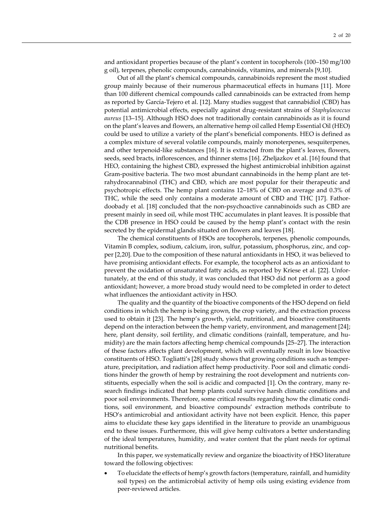and antioxidant properties because of the plant's content in tocopherols (100–150 mg/100 g oil), terpenes, phenolic compounds, cannabinoids, vitamins, and minerals [9,10].

Out of all the plant's chemical compounds, cannabinoids represent the most studied group mainly because of their numerous pharmaceutical effects in humans [11]. More than 100 different chemical compounds called cannabinoids can be extracted from hemp as reported by García-Tejero et al. [12]. Many studies suggest that cannabidiol (CBD) has potential antimicrobial effects, especially against drug-resistant strains of *Staphylococcus aureus* [13–15]. Although HSO does not traditionally contain cannabinoids as it is found on the plant's leaves and flowers, an alternative hemp oil called Hemp Essential Oil (HEO) could be used to utilize a variety of the plant's beneficial components. HEO is defined as a complex mixture of several volatile compounds, mainly monoterpenes, sesquiterpenes, and other terpenoid-like substances [16]. It is extracted from the plant's leaves, flowers, seeds, seed bracts, inflorescences, and thinner stems [16]. Zheljazkov et al. [16] found that HEO, containing the highest CBD, expressed the highest antimicrobial inhibition against Gram-positive bacteria. The two most abundant cannabinoids in the hemp plant are tetrahydrocannabinol (THC) and CBD, which are most popular for their therapeutic and psychotropic effects. The hemp plant contains 12–18% of CBD on average and 0.3% of THC, while the seed only contains a moderate amount of CBD and THC [17]. Fathordoobady et al. [18] concluded that the non-psychoactive cannabinoids such as CBD are present mainly in seed oil, while most THC accumulates in plant leaves. It is possible that the CDB presence in HSO could be caused by the hemp plant's contact with the resin secreted by the epidermal glands situated on flowers and leaves [18].

The chemical constituents of HSOs are tocopherols, terpenes, phenolic compounds, Vitamin B complex, sodium, calcium, iron, sulfur, potassium, phosphorus, zinc, and copper [2,20]. Due to the composition of these natural antioxidants in HSO, it was believed to have promising antioxidant effects. For example, the tocopherol acts as an antioxidant to prevent the oxidation of unsaturated fatty acids, as reported by Kriese et al. [22]. Unfortunately, at the end of this study, it was concluded that HSO did not perform as a good antioxidant; however, a more broad study would need to be completed in order to detect what influences the antioxidant activity in HSO.

The quality and the quantity of the bioactive components of the HSO depend on field conditions in which the hemp is being grown, the crop variety, and the extraction process used to obtain it [23]. The hemp's growth, yield, nutritional, and bioactive constituents depend on the interaction between the hemp variety, environment, and management [24]; here, plant density, soil fertility, and climatic conditions (rainfall, temperature, and humidity) are the main factors affecting hemp chemical compounds [25–27]. The interaction of these factors affects plant development, which will eventually result in low bioactive constituents of HSO. Togliatti's [28] study shows that growing conditions such as temperature, precipitation, and radiation affect hemp productivity. Poor soil and climatic conditions hinder the growth of hemp by restraining the root development and nutrients constituents, especially when the soil is acidic and compacted [1]. On the contrary, many research findings indicated that hemp plants could survive harsh climatic conditions and poor soil environments. Therefore, some critical results regarding how the climatic conditions, soil environment, and bioactive compounds' extraction methods contribute to HSO's antimicrobial and antioxidant activity have not been explicit. Hence, this paper aims to elucidate these key gaps identified in the literature to provide an unambiguous end to these issues. Furthermore, this will give hemp cultivators a better understanding of the ideal temperatures, humidity, and water content that the plant needs for optimal nutritional benefits.

In this paper, we systematically review and organize the bioactivity of HSO literature toward the following objectives:

• To elucidate the effects of hemp's growth factors (temperature, rainfall, and humidity soil types) on the antimicrobial activity of hemp oils using existing evidence from peer-reviewed articles.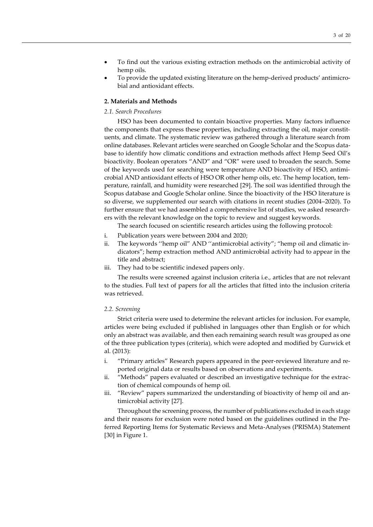- To find out the various existing extraction methods on the antimicrobial activity of hemp oils.
- To provide the updated existing literature on the hemp-derived products' antimicrobial and antioxidant effects.

#### **2. Materials and Methods**

#### *2.1. Search Procedures*

HSO has been documented to contain bioactive properties. Many factors influence the components that express these properties, including extracting the oil, major constituents, and climate. The systematic review was gathered through a literature search from online databases. Relevant articles were searched on Google Scholar and the Scopus database to identify how climatic conditions and extraction methods affect Hemp Seed Oil's bioactivity. Boolean operators "AND" and "OR" were used to broaden the search. Some of the keywords used for searching were temperature AND bioactivity of HSO, antimicrobial AND antioxidant effects of HSO OR other hemp oils, etc. The hemp location, temperature, rainfall, and humidity were researched [29]. The soil was identified through the Scopus database and Google Scholar online. Since the bioactivity of the HSO literature is so diverse, we supplemented our search with citations in recent studies (2004–2020). To further ensure that we had assembled a comprehensive list of studies, we asked researchers with the relevant knowledge on the topic to review and suggest keywords.

The search focused on scientific research articles using the following protocol:

- i. Publication years were between 2004 and 2020;
- ii. The keywords ''hemp oil" AND ''antimicrobial activity"; "hemp oil and climatic indicators"; hemp extraction method AND antimicrobial activity had to appear in the title and abstract;
- iii. They had to be scientific indexed papers only.

The results were screened against inclusion criteria i.e., articles that are not relevant to the studies. Full text of papers for all the articles that fitted into the inclusion criteria was retrieved.

#### *2.2. Screening*

Strict criteria were used to determine the relevant articles for inclusion. For example, articles were being excluded if published in languages other than English or for which only an abstract was available, and then each remaining search result was grouped as one of the three publication types (criteria), which were adopted and modified by Gurwick et al. (2013):

- i. "Primary articles" Research papers appeared in the peer-reviewed literature and reported original data or results based on observations and experiments.
- ii. "Methods" papers evaluated or described an investigative technique for the extraction of chemical compounds of hemp oil.
- iii. "Review" papers summarized the understanding of bioactivity of hemp oil and antimicrobial activity [27].

Throughout the screening process, the number of publications excluded in each stage and their reasons for exclusion were noted based on the guidelines outlined in the Preferred Reporting Items for Systematic Reviews and Meta-Analyses (PRISMA) Statement [30] in Figure 1.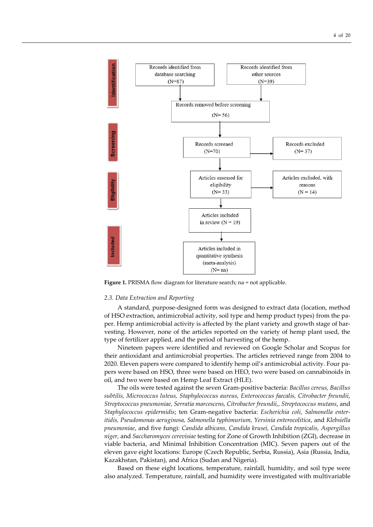

**Figure 1.** PRISMA flow diagram for literature search; na = not applicable.

#### *2.3. Data Extraction and Reporting*

A standard, purpose-designed form was designed to extract data (location, method of HSO extraction, antimicrobial activity, soil type and hemp product types) from the paper. Hemp antimicrobial activity is affected by the plant variety and growth stage of harvesting. However, none of the articles reported on the variety of hemp plant used, the type of fertilizer applied, and the period of harvesting of the hemp.

Nineteen papers were identified and reviewed on Google Scholar and Scopus for their antioxidant and antimicrobial properties. The articles retrieved range from 2004 to 2020. Eleven papers were compared to identify hemp oil's antimicrobial activity. Four papers were based on HSO, three were based on HEO, two were based on cannabinoids in oil, and two were based on Hemp Leaf Extract (HLE).

The oils were tested against the seven Gram-positive bacteria: *Bacillus cereus, Bacillus subtilis, Micrococcus luteus, Staphylococcus aureus, Enterococcus faecalis, Citrobacter freundii, Streptococcus pneumoniae, Serratia marcescens, Citrobacter freundii,, Streptococcus mutans*, and *Staphylococcus epidermidis*; ten Gram-negative bacteria: *Escherichia coli, Salmonella enteritidis, Pseudomonas aeruginosa, Salmonella typhimurium, Yersinia enterocolitica*, and *Klebsiella pneumoniae*, and five fungi: *Candida albicans, Candida krusei, Candida tropicalis, Aspergillus niger*, and *Saccharomyces cerevisiae* testing for Zone of Growth Inhibition (ZGI), decrease in viable bacteria, and Minimal Inhibition Concentration (MIC). Seven papers out of the eleven gave eight locations: Europe (Czech Republic, Serbia, Russia), Asia (Russia, India, Kazakhstan, Pakistan), and Africa (Sudan and Nigeria).

Based on these eight locations, temperature, rainfall, humidity, and soil type were also analyzed. Temperature, rainfall, and humidity were investigated with multivariable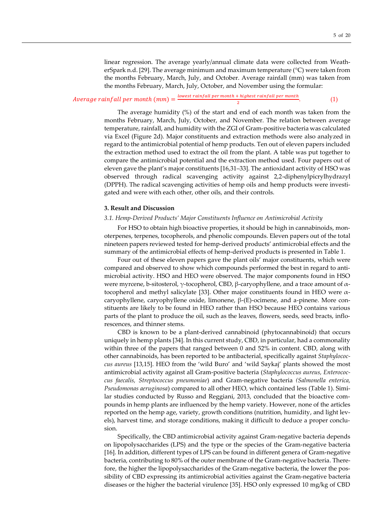linear regression. The average yearly/annual climate data were collected from WeatherSpark n.d. [29]. The average minimum and maximum temperature (°C) were taken from the months February, March, July, and October. Average rainfall (mm) was taken from the months February, March, July, October, and November using the formular:

#### Average rainfall per month (mm) =  $\frac{lowest\ rainfall\ per\ month\ +\ highest\ rainfall\ per\ month}$ 2 . (1)

The average humidity (%) of the start and end of each month was taken from the months February, March, July, October, and November. The relation between average temperature, rainfall, and humidity with the ZGI of Gram-positive bacteria was calculated via Excel (Figure 2d). Major constituents and extraction methods were also analyzed in regard to the antimicrobial potential of hemp products. Ten out of eleven papers included the extraction method used to extract the oil from the plant. A table was put together to compare the antimicrobial potential and the extraction method used. Four papers out of eleven gave the plant's major constituents [16,31–33]. The antioxidant activity of HSO was observed through radical scavenging activity against 2,2-diphenylpicrylhydrazyl (DPPH). The radical scavenging activities of hemp oils and hemp products were investigated and were with each other, other oils, and their controls.

### **3. Result and Discussion**

#### *3.1. Hemp-Derived Products' Major Constituents Influence on Antimicrobial Activity*

For HSO to obtain high bioactive properties, it should be high in cannabinoids, monoterpenes, terpenes, tocopherols, and phenolic compounds. Eleven papers out of the total nineteen papers reviewed tested for hemp-derived products' antimicrobial effects and the summary of the antimicrobial effects of hemp-derived products is presented in Table 1.

Four out of these eleven papers gave the plant oils' major constituents, which were compared and observed to show which compounds performed the best in regard to antimicrobial activity. HSO and HEO were observed. The major components found in HSO were myrcene, b-sitosterol,  $γ$ -tocopherol, CBD, β-caryophyllene, and a trace amount of  $α$ tocopherol and methyl salicylate [33]. Other major constituents found in HEO were  $\alpha$ caryophyllene, caryophyllene oxide, limonene, β-(E)-ocimene, and a-pinene. More constituents are likely to be found in HEO rather than HSO because HEO contains various parts of the plant to produce the oil, such as the leaves, flowers, seeds, seed bracts, inflorescences, and thinner stems.

CBD is known to be a plant-derived cannabinoid (phytocannabinoid) that occurs uniquely in hemp plants [34]. In this current study, CBD, in particular, had a commonality within three of the papers that ranged between 0 and 52% in content. CBD, along with other cannabinoids, has been reported to be antibacterial, specifically against *Staphylococcus aureus* [13,15]. HEO from the 'wild Buro' and 'wild Saykaj' plants showed the most antimicrobial activity against all Gram-positive bacteria (*Staphylococcus aureus, Enterococcus faecalis, Streptococcus pneumoniae*) and Gram-negative bacteria *(Salmonella enterica, Pseudomonas aeruginosa*) compared to all other HEO, which contained less (Table 1). Similar studies conducted by Russo and Reggiani, 2013, concluded that the bioactive compounds in hemp plants are influenced by the hemp variety. However, none of the articles reported on the hemp age, variety, growth conditions (nutrition, humidity, and light levels), harvest time, and storage conditions, making it difficult to deduce a proper conclusion.

Specifically, the CBD antimicrobial activity against Gram-negative bacteria depends on lipopolysaccharides (LPS) and the type or the species of the Gram-negative bacteria [16]. In addition, different types of LPS can be found in different genera of Gram-negative bacteria, contributing to 80% of the outer membrane of the Gram-negative bacteria. Therefore, the higher the lipopolysaccharides of the Gram-negative bacteria, the lower the possibility of CBD expressing its antimicrobial activities against the Gram-negative bacteria diseases or the higher the bacterial virulence [35]. HSO only expressed 10 mg/kg of CBD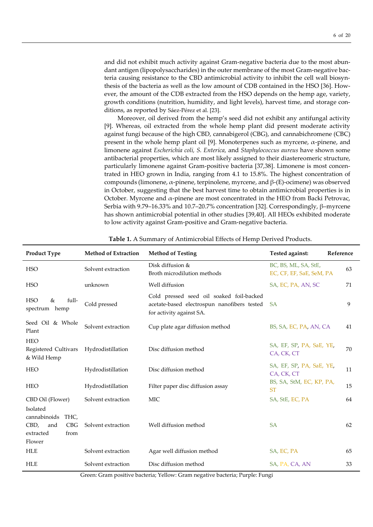and did not exhibit much activity against Gram-negative bacteria due to the most abundant antigen (lipopolysaccharides) in the outer membrane of the most Gram-negative bacteria causing resistance to the CBD antimicrobial activity to inhibit the cell wall biosynthesis of the bacteria as well as the low amount of CDB contained in the HSO [36]. However, the amount of the CDB extracted from the HSO depends on the hemp age, variety, growth conditions (nutrition, humidity, and light levels), harvest time, and storage conditions, as reported by Sáez-Pérez et al. [23].

Moreover, oil derived from the hemp's seed did not exhibit any antifungal activity [9]. Whereas, oil extracted from the whole hemp plant did present moderate activity against fungi because of the high CBD, cannabigerol (CBG), and cannabichromene (CBC) present in the whole hemp plant oil [9]. Monoterpenes such as myrcene,  $\alpha$ -pinene, and limonene against *Escherichia coli, S. Enterica,* and *Staphylococcus aureus* have shown some antibacterial properties, which are most likely assigned to their diastereomeric structure, particularly limonene against Gram-positive bacteria [37,38]. Limonene is most concentrated in HEO grown in India, ranging from 4.1 to 15.8%. The highest concentration of compounds (limonene, α-pinene, terpinolene, myrcene, and β-(E)-ocimene) was observed in October, suggesting that the best harvest time to obtain antimicrobial properties is in October. Myrcene and α-pinene are most concentrated in the HEO from Backi Petrovac, Serbia with 9.79–16.33% and 10.7–20.7% concentration [32]. Correspondingly, β–myrcene has shown antimicrobial potential in other studies [39,40]. All HEOs exhibited moderate to low activity against Gram-positive and Gram-negative bacteria.

| <b>Product Type</b>                                                                   | <b>Method of Extraction</b> | <b>Method of Testing</b>                                                                                            | Tested against:<br>Reference                     |    |
|---------------------------------------------------------------------------------------|-----------------------------|---------------------------------------------------------------------------------------------------------------------|--------------------------------------------------|----|
| <b>HSO</b>                                                                            | Solvent extraction          | Disk diffusion &<br>Broth microdilution methods                                                                     | BC, BS, ML, SA, StE,<br>EC, CF, EF, SaE, SeM, PA | 63 |
| <b>HSO</b>                                                                            | unknown                     | Well diffusion                                                                                                      | SA, EC, PA, AN, SC                               | 71 |
| full-<br><b>HSO</b><br>&<br>spectrum hemp                                             | Cold pressed                | Cold pressed seed oil soaked foil-backed<br>acetate-based electrospun nanofibers tested<br>for activity against SA. | <b>SA</b>                                        | 9  |
| Seed Oil & Whole<br>Plant                                                             | Solvent extraction          | Cup plate agar diffusion method                                                                                     | BS, SA, EC, PA, AN, CA                           | 41 |
| <b>HEO</b><br>Registered Cultivars<br>& Wild Hemp                                     | Hydrodistillation           | Disc diffusion method                                                                                               | SA, EF, SP, PA, SaE, YE,<br>CA, CK, CT           | 70 |
| <b>HEO</b>                                                                            | Hydrodistillation           | Disc diffusion method                                                                                               | SA, EF, SP, PA, SaE, YE,<br>CA, CK, CT           | 11 |
| <b>HEO</b>                                                                            | Hydrodistillation           | Filter paper disc diffusion assay                                                                                   | BS, SA, StM, EC, KP, PA,<br><b>ST</b>            | 15 |
| CBD Oil (Flower)                                                                      | Solvent extraction          | <b>MIC</b>                                                                                                          | SA, StE, EC, PA                                  | 64 |
| Isolated<br>cannabinoids<br>THC,<br>CBD,<br>CBG<br>and<br>extracted<br>from<br>Flower | Solvent extraction          | Well diffusion method                                                                                               | <b>SA</b>                                        | 62 |
| <b>HLE</b>                                                                            | Solvent extraction          | Agar well diffusion method                                                                                          | SA, EC, PA                                       | 65 |
| <b>HLE</b>                                                                            | Solvent extraction          | Disc diffusion method                                                                                               | SA, PA, CA, AN                                   | 33 |

**Table 1.** A Summary of Antimicrobial Effects of Hemp Derived Products.

Green: Gram positive bacteria; Yellow: Gram negative bacteria; Purple: Fungi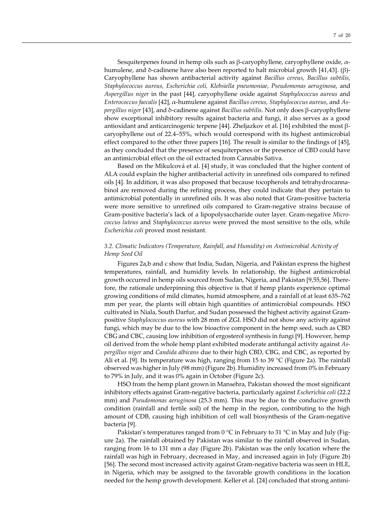Sesquiterpenes found in hemp oils such as β-caryophyllene, caryophyllene oxide,  $α$ humulene, and δ-cadinene have also been reported to halt microbial growth [41,43]. (β)- Caryophyllene has shown antibacterial activity against *Bacillus cereus, Bacillus subtilis*, *Staphylococcus aureus, Escherichia coli, Klebsiella pneumoniae, Pseudomonas aeruginosa*, and *Aspergillus niger* in the past [44], caryophyllene oxide against *Staphylococcus aureus* and *Enterococcus faecalis* [42], α-humulene against *Bacillus cereus, Staphylococcus aureus*, and *Aspergillus niger* [43], and δ-cadinene against *Bacillus subtilis*. Not only does β-caryophyllene show exceptional inhibitory results against bacteria and fungi, it also serves as a good antioxidant and anticarcinogenic terpene [44]. Zheljazkov et al. [16] exhibited the most βcaryophyllene out of 22.4–55%, which would correspond with its highest antimicrobial effect compared to the other three papers [16]. The result is similar to the findings of [45], as they concluded that the presence of sesquiterpenes or the presence of CBD could have an antimicrobial effect on the oil extracted from Cannabis Sativa.

Based on the Mikulcová et al. [4] study, it was concluded that the higher content of ALA could explain the higher antibacterial activity in unrefined oils compared to refined oils [4]. In addition, it was also proposed that because tocopherols and tetrahydrocannabinol are removed during the refining process, they could indicate that they pertain to antimicrobial potentially in unrefined oils. It was also noted that Gram-positive bacteria were more sensitive to unrefined oils compared to Gram-negative strains because of Gram-positive bacteria's lack of a lipopolysaccharide outer layer. Gram-negative *Micrococcus luteus* and *Staphylococcus aureus* were proved the most sensitive to the oils, while *Escherichia coli* proved most resistant.

### *3.2. Climatic Indicators (Temperature, Rainfall, and Humidity) on Antimicrobial Activity of Hemp Seed Oil*

Figures 2a,b and c show that India, Sudan, Nigeria, and Pakistan express the highest temperatures, rainfall, and humidity levels. In relationship, the highest antimicrobial growth occurred in hemp oils sourced from Sudan, Nigeria, and Pakistan [9,55,56]. Therefore, the rationale underpinning this objective is that if hemp plants experience optimal growing conditions of mild climates, humid atmosphere, and a rainfall of at least 635–762 mm per year, the plants will obtain high quantities of antimicrobial compounds. HSO cultivated in Niala, South Darfur, and Sudan possessed the highest activity against Grampositive *Staphylococcus aureus* with 28 mm of ZGI. HSO did not show any activity against fungi, which may be due to the low bioactive component in the hemp seed, such as CBD CBG and CBC, causing low inhibition of ergosterol synthesis in fungi [9]. However, hemp oil derived from the whole hemp plant exhibited moderate antifungal activity against *Aspergillus niger* and *Candida albicans* due to their high CBD, CBG, and CBC, as reported by Ali et al. [9]. Its temperature was high, ranging from 15 to 39  $\degree$ C (Figure 2a). The rainfall observed was higher in July (98 mm) (Figure 2b). Humidity increased from 0% in February to 79% in July, and it was 0% again in October (Figure 2c).

HSO from the hemp plant grown in Mansehra, Pakistan showed the most significant inhibitory effects against Gram-negative bacteria, particularly against *Escherichia coli* (22.2 mm) and *Pseudomonas aeruginosa* (25.3 mm)*.* This may be due to the conducive growth condition (rainfall and fertile soil) of the hemp in the region, contributing to the high amount of CDB, causing high inhibition of cell wall biosynthesis of the Gram-negative bacteria [9].

Pakistan's temperatures ranged from 0 °C in February to 31 °C in May and July (Figure 2a). The rainfall obtained by Pakistan was similar to the rainfall observed in Sudan, ranging from 16 to 131 mm a day (Figure 2b). Pakistan was the only location where the rainfall was high in February, decreased in May, and increased again in July (Figure 2b) [56]. The second most increased activity against Gram-negative bacteria was seen in HLE, in Nigeria, which may be assigned to the favorable growth conditions in the location needed for the hemp growth development. Keller et al. [24] concluded that strong antimi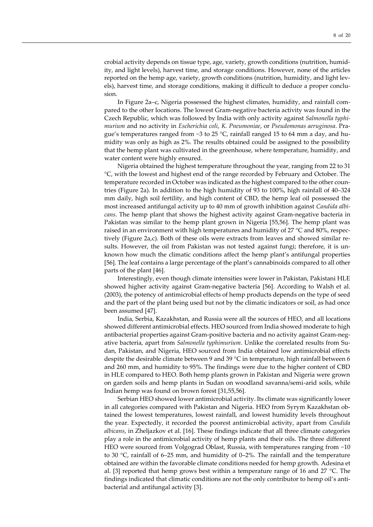crobial activity depends on tissue type, age, variety, growth conditions (nutrition, humidity, and light levels), harvest time, and storage conditions. However, none of the articles reported on the hemp age, variety, growth conditions (nutrition, humidity, and light levels), harvest time, and storage conditions, making it difficult to deduce a proper conclusion.

In Figure 2a–c, Nigeria possessed the highest climates, humidity, and rainfall compared to the other locations. The lowest Gram-negative bacteria activity was found in the Czech Republic, which was followed by India with only activity against *Salmonella typhimurium* and no activity in *Escherichia coli*, *K. Pneumoniae*, or *Pseudomonas aeruginosa*. Prague's temperatures ranged from  $-3$  to 25 °C, rainfall ranged 15 to 64 mm a day, and humidity was only as high as 2%. The results obtained could be assigned to the possibility that the hemp plant was cultivated in the greenhouse, where temperature, humidity, and water content were highly ensured.

Nigeria obtained the highest temperature throughout the year, ranging from 22 to 31 °C, with the lowest and highest end of the range recorded by February and October. The temperature recorded in October was indicated as the highest compared to the other countries (Figure 2a). In addition to the high humidity of 93 to 100%, high rainfall of 40–324 mm daily, high soil fertility, and high content of CBD, the hemp leaf oil possessed the most increased antifungal activity up to 40 mm of growth inhibition against *Candida albicans*. The hemp plant that shows the highest activity against Gram-negative bacteria in Pakistan was similar to the hemp plant grown in Nigeria [55,56]. The hemp plant was raised in an environment with high temperatures and humidity of  $27^{\circ}$ C and  $80\%$ , respectively (Figure 2a,c). Both of these oils were extracts from leaves and showed similar results. However, the oil from Pakistan was not tested against fungi; therefore, it is unknown how much the climatic conditions affect the hemp plant's antifungal properties [56]. The leaf contains a large percentage of the plant's cannabinoids compared to all other parts of the plant [46].

Interestingly, even though climate intensities were lower in Pakistan, Pakistani HLE showed higher activity against Gram-negative bacteria [56]. According to Walsh et al. (2003), the potency of antimicrobial effects of hemp products depends on the type of seed and the part of the plant being used but not by the climatic indicators or soil, as had once been assumed [47].

India, Serbia, Kazakhstan, and Russia were all the sources of HEO, and all locations showed different antimicrobial effects. HEO sourced from India showed moderate to high antibacterial properties against Gram-positive bacteria and no activity against Gram-negative bacteria, apart from *Salmonella typhimurium*. Unlike the correlated results from Sudan, Pakistan, and Nigeria, HEO sourced from India obtained low antimicrobial effects despite the desirable climate between 9 and 39 °C in temperature, high rainfall between 6 and 260 mm, and humidity to 95%. The findings were due to the higher content of CBD in HLE compared to HEO. Both hemp plants grown in Pakistan and Nigeria were grown on garden soils and hemp plants in Sudan on woodland savanna/semi-arid soils, while Indian hemp was found on brown forest [31,55,56].

Serbian HEO showed lower antimicrobial activity. Its climate was significantly lower in all categories compared with Pakistan and Nigeria. HEO from Syrym Kazakhstan obtained the lowest temperatures, lowest rainfall, and lowest humidity levels throughout the year. Expectedly, it recorded the poorest antimicrobial activity, apart from *Candida albicans*, in Zheljazkov et al. [16]. These findings indicate that all three climate categories play a role in the antimicrobial activity of hemp plants and their oils. The three different HEO were sourced from Volgograd Oblast, Russia, with temperatures ranging from -10 to 30 °C, rainfall of 6–25 mm, and humidity of 0–2%. The rainfall and the temperature obtained are within the favorable climate conditions needed for hemp growth. Adesina et al. [3] reported that hemp grows best within a temperature range of 16 and 27  $^{\circ}$ C. The findings indicated that climatic conditions are not the only contributor to hemp oil's antibacterial and antifungal activity [3].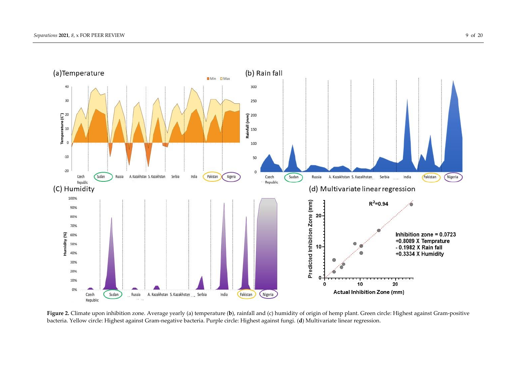

**Figure 2.** Climate upon inhibition zone. Average yearly (a) temperature (b), rainfall and (c) humidity of origin of hemp plant. Green circle: Highest against Gram-positive bacteria. Yellow circle: Highest against Gram-negative bacteria. Purple circle: Highest against fungi. (**d**) Multivariate linear regression.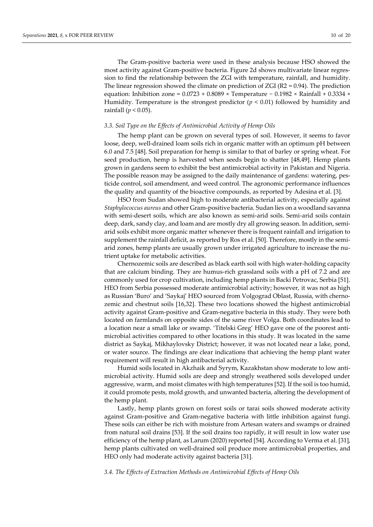The Gram-positive bacteria were used in these analysis because HSO showed the most activity against Gram-positive bacteria. Figure 2d shows multivariate linear regression to find the relationship between the ZGI with temperature, rainfall, and humidity. The linear regression showed the climate on prediction of  $ZGI$  ( $R2 = 0.94$ ). The prediction equation: Inhibition zone =  $0.0723 + 0.8089 \times$  Temperature −  $0.1982 \times$  Rainfall +  $0.3334 \times$ Humidity. Temperature is the strongest predictor  $(p < 0.01)$  followed by humidity and rainfall (*p* < 0.05).

#### *3.3. Soil Type on the Effects of Antimicrobial Activity of Hemp Oils*

The hemp plant can be grown on several types of soil. However, it seems to favor loose, deep, well-drained loam soils rich in organic matter with an optimum pH between 6.0 and 7.5 [48]. Soil preparation for hemp is similar to that of barley or spring wheat. For seed production, hemp is harvested when seeds begin to shatter [48,49]. Hemp plants grown in gardens seem to exhibit the best antimicrobial activity in Pakistan and Nigeria. The possible reason may be assigned to the daily maintenance of gardens: watering, pesticide control, soil amendment, and weed control. The agronomic performance influences the quality and quantity of the bioactive compounds, as reported by Adesina et al. [3].

HSO from Sudan showed high to moderate antibacterial activity, especially against *Staphylococcus aureus* and other Gram-positive bacteria. Sudan lies on a woodland savanna with semi-desert soils, which are also known as semi-arid soils. Semi-arid soils contain deep, dark, sandy clay, and loam and are mostly dry all growing season. In addition, semiarid soils exhibit more organic matter whenever there is frequent rainfall and irrigation to supplement the rainfall deficit, as reported by Ros et al. [50]. Therefore, mostly in the semiarid zones, hemp plants are usually grown under irrigated agriculture to increase the nutrient uptake for metabolic activities.

Chernozemic soils are described as black earth soil with high water-holding capacity that are calcium binding. They are humus-rich grassland soils with a pH of 7.2 and are commonly used for crop cultivation, including hemp plants in Backi Petrovac, Serbia [51]. HEO from Serbia possessed moderate antimicrobial activity; however, it was not as high as Russian 'Buro' and 'Saykaj' HEO sourced from Volgograd Oblast, Russia, with chernozemic and chestnut soils [16,32]. These two locations showed the highest antimicrobial activity against Gram-positive and Gram-negative bacteria in this study. They were both located on farmlands on opposite sides of the same river Volga. Both coordinates lead to a location near a small lake or swamp. 'Titelski Greg' HEO gave one of the poorest antimicrobial activities compared to other locations in this study. It was located in the same district as Saykaj, Mikhaylovsky District; however, it was not located near a lake, pond, or water source. The findings are clear indications that achieving the hemp plant water requirement will result in high antibacterial activity.

Humid soils located in Akzhaik and Syrym, Kazakhstan show moderate to low antimicrobial activity. Humid soils are deep and strongly weathered soils developed under aggressive, warm, and moist climates with high temperatures [52]. If the soil is too humid, it could promote pests, mold growth, and unwanted bacteria, altering the development of the hemp plant.

Lastly, hemp plants grown on forest soils or tarai soils showed moderate activity against Gram-positive and Gram-negative bacteria with little inhibition against fungi. These soils can either be rich with moisture from Artesan waters and swamps or drained from natural soil drains [53]. If the soil drains too rapidly, it will result in low water use efficiency of the hemp plant, as Larum (2020) reported [54]. According to Verma et al. [31], hemp plants cultivated on well-drained soil produce more antimicrobial properties, and HEO only had moderate activity against bacteria [31].

*3.4. The Effects of Extraction Methods on Antimicrobial Effects of Hemp Oils*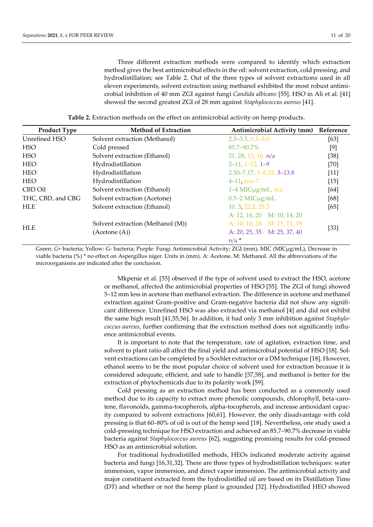Three different extraction methods were compared to identify which extraction method gives the best antimicrobial effects in the oil: solvent extraction, cold pressing, and hydrodistillation; see Table 2. Out of the three types of solvent extractions used in all eleven experiments, solvent extraction using methanol exhibited the most robust antimicrobial inhibition of 40 mm ZGI against fungi *Candida albicans* [55]. HSO in Ali et al. [41] showed the second greatest ZGI of 28 mm against *Staphylococcus aureus* [41].

**Table 2.** Extraction methods on the effect on antimicrobial activity on hemp products.

| <b>Product Type</b> | <b>Method of Extraction</b>       | <b>Antimicrobial Activity (mm)</b>      | Reference |  |
|---------------------|-----------------------------------|-----------------------------------------|-----------|--|
| Unrefined HSO       | Solvent extraction (Methanol)     | $2.3 - 3.3, 0.3 - 3.0$                  | [63]      |  |
| <b>HSO</b>          | Cold pressed                      | 85.7-90.7%                              | $[9]$     |  |
| <b>HSO</b>          | Solvent extraction (Ethanol)      | 21, 28, 15, 16, n/a                     | $[38]$    |  |
| <b>HEO</b>          | Hydrodistillation                 | $2-11, 1-12, 1-9$                       | $[70]$    |  |
| <b>HEO</b>          | Hydrodistillation                 | $2.50 - 7.17$ , $1 - 8.33$ , $3 - 13.8$ | $[11]$    |  |
| <b>HEO</b>          | Hydrodistillation                 | $4-11$ , $n/a-7$                        | $[15]$    |  |
| CBD Oil             | Solvent extraction (Ethanol)      | $1-4$ MIC $\mu$ g/mL, n/a               | [64]      |  |
| THC, CBD, and CBG   | Solvent extraction (Acetone)      | $0.5-2$ MIC $\mu$ g/mL                  | [68]      |  |
| <b>HLE</b>          | Solvent extraction (Ethanol)      | 10. 3, 22.2, 25.3                       | [65]      |  |
|                     |                                   | A: $12, 16, 20$ M: $10, 14, 20$         |           |  |
| <b>HLE</b>          | Solvent extraction (Methanol (M)) | A: 10, 10, 18 M: 11, 11, 18             | $[33]$    |  |
|                     | (Acetone(A))                      | A: $20, 25, 35$ M: $25, 37, 40$         |           |  |
|                     |                                   | $n/a$ <sup>*</sup>                      |           |  |

Green: *G*+ bacteria; Yellow: G- bacteria; Purple: Fungi Antimicrobial Activity; ZGI (mm), MIC (MICμg/mL), Decrease in viable bacteria (%) \* no effect on Aspergillus niger. Units in (mm). A: Acetone. M: Methanol. All the abbreviations of the microorganisms are indicated after the conclusion.

> Mkpenie et al. [55] observed if the type of solvent used to extract the HSO, acetone or methanol, affected the antimicrobial properties of HSO [55]. The ZGI of fungi showed 5–12 mm less in acetone than methanol extraction. The difference in acetone and methanol extraction against Gram-positive and Gram-negative bacteria did not show any significant difference. Unrefined HSO was also extracted via methanol [4] and did not exhibit the same high result [41,55,56]. In addition, it had only 3 mm inhibition against *Staphylococcus aureus*, further confirming that the extraction method does not significantly influence antimicrobial events.

> It is important to note that the temperature, rate of agitation, extraction time, and solvent to plant ratio all affect the final yield and antimicrobial potential of HSO [18]. Solvent extractions can be completed by a Soxhlet extractor or a DM technique [18]. However, ethanol seems to be the most popular choice of solvent used for extraction because it is considered adequate, efficient, and safe to handle [57,58], and methanol is better for the extraction of phytochemicals due to its polarity work [59].

> Cold pressing as an extraction method has been conducted as a commonly used method due to its capacity to extract more phenolic compounds, chlorophyll, beta-carotene, flavonoids, gamma-tocopherols, alpha-tocopherols, and increase antioxidant capacity compared to solvent extractions [60,61]. However, the only disadvantage with cold pressing is that 60–80% of oil is out of the hemp seed [18]. Nevertheless, one study used a cold-pressing technique for HSO extraction and achieved an 85.7–90.7% decrease in viable bacteria against *Staphylococcus aureus* [62], suggesting promising results for cold-pressed HSO as an antimicrobial solution.

> For traditional hydrodistilled methods, HEOs indicated moderate activity against bacteria and fungi [16,31,32]. There are three types of hydrodistillation techniques: water immersion, vapor immersion, and direct vapor immersion. The antimicrobial activity and major constituent extracted from the hydrodistilled oil are based on its Distillation Time (DT) and whether or not the hemp plant is grounded [32]. Hydrodistilled HEO showed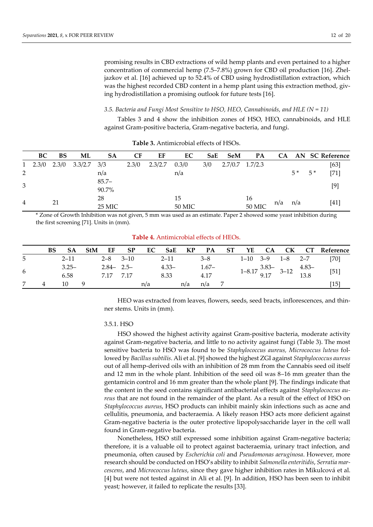promising results in CBD extractions of wild hemp plants and even pertained to a higher concentration of commercial hemp (7.5–7.8%) grown for CBD oil production [16]. Zheljazkov et al. [16] achieved up to 52.4% of CBD using hydrodistillation extraction, which was the highest recorded CBD content in a hemp plant using this extraction method, giving hydrodistillation a promising outlook for future tests [16].

*3.5. Bacteria and Fungi Most Sensitive to HSO, HEO, Cannabinoids, and HLE (N = 11)*

Tables 3 and 4 show the inhibition zones of HSO, HEO, cannabinoids, and HLE against Gram-positive bacteria, Gram-negative bacteria, and fungi.

|                | BC    | <b>BS</b> | ML      | <b>SA</b> | <b>CF</b> | EF      | EC    | SaE | <b>SeM</b> | PA      | <b>CA</b> |      |      | AN SC Reference |
|----------------|-------|-----------|---------|-----------|-----------|---------|-------|-----|------------|---------|-----------|------|------|-----------------|
| 1              | 2.3/0 | 2.3/0     | 3.3/2.7 | 3/3       | 2.3/0     | 2.3/2.7 | 0.3/0 | 3/0 | 2.7/0.7    | 1.7/2.3 |           |      |      | [63]            |
| 2              |       |           |         | n/a       |           |         | n/a   |     |            |         |           | $5*$ | $5*$ | $[71]$          |
| 3              |       |           |         | $85.7 -$  |           |         |       |     |            |         |           |      |      | [9]             |
|                |       |           |         | 90.7%     |           |         |       |     |            |         |           |      |      |                 |
| $\overline{4}$ |       | 21        |         | 28        |           |         | 15    |     |            | 16      |           |      |      | [41]            |
|                |       |           | 25 MIC  |           |           | 50 MIC  |       |     | 50 MIC     | n/a     | n/a       |      |      |                 |

**Table 3.** Antimicrobial effects of HSOs.

\* Zone of Growth Inhibition was not given, 5 mm was used as an estimate. Paper 2 showed some yeast inhibition during the first screening [71]. Units in (mm).

|   | <b>BS</b> | <b>SA</b>        | <b>StM</b> | EF                          | <b>SP</b> | EC  |                  |     | SaE KP PA ST    |  |                          |                                                                                                           | YE CA CK CT Reference |
|---|-----------|------------------|------------|-----------------------------|-----------|-----|------------------|-----|-----------------|--|--------------------------|-----------------------------------------------------------------------------------------------------------|-----------------------|
| 5 |           | $2 - 11$         |            | $2 - 8$ 3-10                |           |     | $2 - 11$         |     | $3 - 8$         |  | $1-10$ $3-9$ $1-8$ $2-7$ |                                                                                                           | [70]                  |
| 6 |           | $3.25 -$<br>6.58 |            | $2.84 - 2.5 -$<br>7.17 7.17 |           |     | $4.33 -$<br>8.33 |     | $1.67-$<br>4.17 |  |                          | $1-8.17 \begin{array}{ccc} 3.83- \\ 9.17 \end{array}$ $3-12 \begin{array}{ccc} 4.83- \\ 13.8 \end{array}$ | $[51]$                |
|   |           | 10               | -9         |                             |           | n/a |                  | n/a | $n/a$ 7         |  |                          |                                                                                                           | 151                   |

**Table 4.** Antimicrobial effects of HEOs.

HEO was extracted from leaves, flowers, seeds, seed bracts, inflorescences, and thinner stems. Units in (mm).

#### 3.5.1. HSO

HSO showed the highest activity against Gram-positive bacteria, moderate activity against Gram-negative bacteria, and little to no activity against fungi (Table 3). The most sensitive bacteria to HSO was found to be *Staphylococcus aureus, Micrococcus luteus* followed by *Bacillus subtilis*. Ali et al. [9] showed the highest ZGI against *Staphylococcus aureus* out of all hemp-derived oils with an inhibition of 28 mm from the Cannabis seed oil itself and 12 mm in the whole plant. Inhibition of the seed oil was 8–16 mm greater than the gentamicin control and 16 mm greater than the whole plant [9]. The findings indicate that the content in the seed contains significant antibacterial effects against *Staphylococcus aureus* that are not found in the remainder of the plant. As a result of the effect of HSO on *Staphylococcus aureus*, HSO products can inhibit mainly skin infections such as acne and cellulitis, pneumonia, and bacteraemia. A likely reason HSO acts more deficient against Gram-negative bacteria is the outer protective lipopolysaccharide layer in the cell wall found in Gram-negative bacteria.

Nonetheless, HSO still expressed some inhibition against Gram-negative bacteria; therefore, it is a valuable oil to protect against bacteraemia, urinary tract infection, and pneumonia, often caused by *Escherichia coli* and *Pseudomonas aeruginosa*. However, more research should be conducted on HSO's ability to inhibit *Salmonella enteritidis*, *Serratia marcescens*, and *Micrococcus luteus*, since they gave higher inhibition rates in Mikulcová et al. [4] but were not tested against in Ali et al. [9]. In addition, HSO has been seen to inhibit yeast*;* however, it failed to replicate the results [33].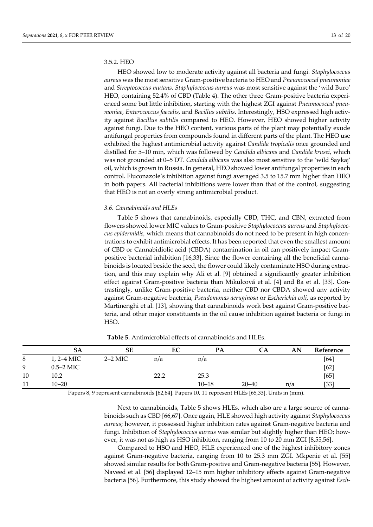#### 3.5.2. HEO

HEO showed low to moderate activity against all bacteria and fungi. *Staphylococcus aureus* was the most sensitive Gram-positive bacteria to HEO and *Pneumococcal pneumoniae* and *Streptococcus mutans*. *Staphylococcus aureus* was most sensitive against the 'wild Buro' HEO, containing 52.4% of CBD (Table 4). The other three Gram-positive bacteria experienced some but little inhibition, starting with the highest ZGI against *Pneumococcal pneumoniae*, *Enterococcus faecalis*, and *Bacillus subtilis*. Interestingly, HSO expressed high activity against *Bacillus subtilis* compared to HEO. However, HEO showed higher activity against fungi. Due to the HEO content, various parts of the plant may potentially exude antifungal properties from compounds found in different parts of the plant. The HEO use exhibited the highest antimicrobial activity against *Candida tropicalis* once grounded and distilled for 5–10 min, which was followed by *Candida albicans* and *Candida krusei*, which was not grounded at 0–5 DT. *Candida albicans* was also most sensitive to the 'wild Saykaj' oil, which is grown in Russia. In general, HEO showed lower antifungal properties in each control. Fluconazole's inhibition against fungi averaged 3.5 to 15.7 mm higher than HEO in both papers. All bacterial inhibitions were lower than that of the control, suggesting that HEO is not an overly strong antimicrobial product.

#### *3.6. Cannabinoids and HLEs*

Table 5 shows that cannabinoids, especially CBD, THC, and CBN, extracted from flowers showed lower MIC values to Gram-positive *Staphylococcus aureus* and *Staphylococcus epidermidis,* which means that cannabinoids do not need to be present in high concentrations to exhibit antimicrobial effects. It has been reported that even the smallest amount of CBD or Cannabidiolic acid (CBDA) contamination in oil can positively impact Grampositive bacterial inhibition [16,33]. Since the flower containing all the beneficial cannabinoids is located beside the seed, the flower could likely contaminate HSO during extraction, and this may explain why Ali et al. [9] obtained a significantly greater inhibition effect against Gram-positive bacteria than Mikulcová et al. [4] and Ba et al. [33]. Contrastingly, unlike Gram-positive bacteria, neither CBD nor CBDA showed any activity against Gram-negative bacteria, *Pseudomonas aeruginosa* or *Escherichia coli,* as reported by Martinenghi et al. [13], showing that cannabinoids work best against Gram-positive bacteria, and other major constituents in the oil cause inhibition against bacteria or fungi in HSO.

|    | SА           | SE        | EС   | PA        | CA        | AN  | Reference |
|----|--------------|-----------|------|-----------|-----------|-----|-----------|
| 8  | $1, 2-4$ MIC | $2-2$ MIC | n/a  | n/a       |           |     | [64]      |
| 9  | $0.5-2$ MIC  |           |      |           |           |     | $[62]$    |
| 10 | 10.2         |           | 22.2 | 25.3      |           |     | [65]      |
| 11 | $10 - 20$    |           |      | $10 - 18$ | $20 - 40$ | n/a | [33]      |
|    |              |           |      |           |           |     |           |

**Table 5.** Antimicrobial effects of cannabinoids and HLEs.

Papers 8, 9 represent cannabinoids [62,64]. Papers 10, 11 represent HLEs [65,33]. Units in (mm).

Next to cannabinoids, Table 5 shows HLEs, which also are a large source of cannabinoids such as CBD [66,67]. Once again, HLE showed high activity against *Staphylococcus aureus*; however, it possessed higher inhibition rates against Gram-negative bacteria and fungi. Inhibition of *Staphylococcus aureus* was similar but slightly higher than HEO; however, it was not as high as HSO inhibition, ranging from 10 to 20 mm ZGI [8,55,56].

Compared to HSO and HEO, HLE experienced one of the highest inhibitory zones against Gram-negative bacteria, ranging from 10 to 25.3 mm ZGI. Mkpenie et al. [55] showed similar results for both Gram-positive and Gram-negative bacteria [55]. However, Naveed et al. [56] displayed 12–15 mm higher inhibitory effects against Gram-negative bacteria [56]. Furthermore, this study showed the highest amount of activity against *Esch-*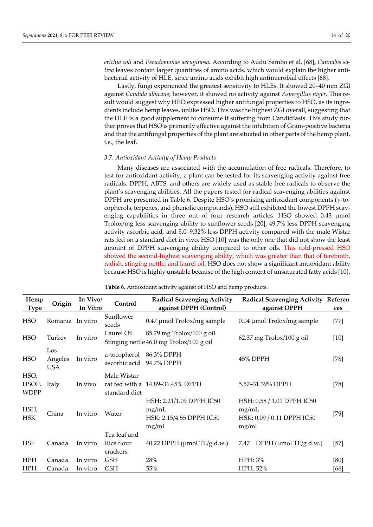*erichia coli* and *Pseudomonas aeruginosa.* According to Audu Sambo et al. [68], *Cannabis sativa* leaves contain larger quantities of amino acids, which would explain the higher antibacterial activity of HLE, since amino acids exhibit high antimicrobial effects [68].

Lastly, fungi experienced the greatest sensitivity to HLEs. It showed 20–40 mm ZGI against *Candida albicans*; however, it showed no activity against *Aspergillus niger*. This result would suggest why HEO expressed higher antifungal properties to HSO, as its ingredients include hemp leaves, unlike HSO. This was the highest ZGI overall, suggesting that the HLE is a good supplement to consume if suffering from Candidiasis. This study further proves that HSO is primarily effective against the inhibition of Gram-positive bacteria and that the antifungal properties of the plant are situated in other parts of the hemp plant, i.e., the leaf.

#### *3.7. Antioxidant Activity of Hemp Products*

Many diseases are associated with the accumulation of free radicals. Therefore, to test for antioxidant activity, a plant can be tested for its scavenging activity against free radicals. DPPH, ABTS, and others are widely used as stable free radicals to observe the plant's scavenging abilities. All the papers tested for radical scavenging abilities against DPPH are presented in Table 6. Despite HSO's promising antioxidant components (γ-tocopherols, terpenes, and phenolic compounds), HSO still exhibited the lowest DPPH scavenging capabilities in three out of four research articles. HSO showed 0.43 μmol Trolox/mg less scavenging ability to sunflower seeds [20], 49.7% less DPPH scavenging activity ascorbic acid, and 5.0–9.32% less DPPH activity compared with the male Wistar rats fed on a standard diet in vivo. HSO [10] was the only one that did not show the least amount of DPPH scavenging ability compared to other oils. This cold-pressed HSO showed the second-highest scavenging ability, which was greater than that of terebinth, radish, stinging nettle, and laurel oil. HSO does not show a significant antioxidant ability because HSO is highly unstable because of the high content of unsaturated fatty acids [10].

| Hemp                         | Origin                       | In Vivo/ | Control                                | <b>Radical Scavenging Activity</b>                                      | Radical Scavenging Activity Referen                                        |        |
|------------------------------|------------------------------|----------|----------------------------------------|-------------------------------------------------------------------------|----------------------------------------------------------------------------|--------|
| <b>Type</b>                  |                              | In Vitro |                                        | against DPPH (Control)                                                  | against DPPH                                                               | ces    |
| <b>HSO</b>                   | Romania In vitro             |          | Sunflower<br>seeds                     | $0.47 \mu$ mol Trolox/mg sample                                         | $0.04 \mu$ mol Trolox/mg sample                                            | $[77]$ |
| <b>HSO</b>                   | Turkey                       | In vitro | Laurel Oil                             | $85.79$ mg Trolox/100 g oil<br>Stinging nettle 46.0 mg Trolox/100 g oil | $62.37$ mg Trolox/100 g oil                                                | $[10]$ |
| <b>HSO</b>                   | Los<br>Angeles<br><b>USA</b> | In vitro | a-tocopherol<br>ascorbic acid          | 86.3% DPPH<br>94.7% DPPH                                                | 45% DPPH                                                                   | $[78]$ |
| HSO,<br>HSOP,<br><b>WDPP</b> | Italy                        | In vivo  | Male Wistar<br>standard diet           | rat fed with a 14.89–36.45% DPPH                                        | 5.57-31.39% DPPH                                                           | $[78]$ |
| HSH,<br><b>HSK</b>           | China                        | In vitro | Water                                  | HSH: 2.21/1.09 DPPH IC50<br>mg/mL<br>HSK: 2.15/4.55 DPPH IC50<br>mg/ml  | HSH: 0.58 / 1.01 DPPH IC50<br>mg/mL<br>HSK: 0.09 / 0.11 DPPH IC50<br>mg/ml | $[79]$ |
| <b>HSF</b>                   | Canada                       | In vitro | Tea leaf and<br>Rice flour<br>crackers | 40.22 DPPH ( $\mu$ mol TE/g d.w.)                                       | DPPH ( $\mu$ mol TE/g d.w.)<br>7.47                                        | $[57]$ |
| <b>HPH</b>                   | Canada                       | In vitro | <b>GSH</b>                             | 28%                                                                     | HPH: 3%                                                                    | [80]   |
| <b>HPH</b>                   | Canada                       | In vitro | <b>GSH</b>                             | 55%                                                                     | HPH: 52%                                                                   | [66]   |

**Table 6.** Antioxidant activity against of HSO and hemp products.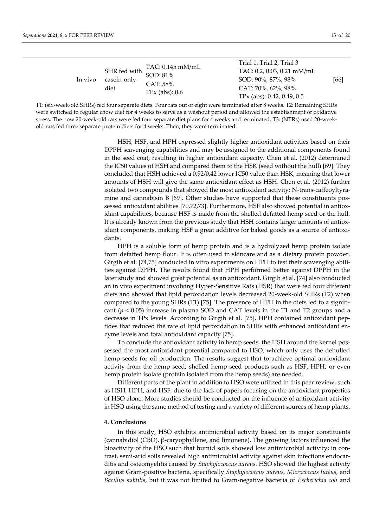| In vivo | casein-only<br>diet | TAC: 0.145 mM/mL<br>SHR fed with SOD: 81%<br>CAT: 58%<br>$TPx$ (abs): $0.6$ | Trial 1, Trial 2, Trial 3<br>TAC: 0.2, 0.03, 0.21 mM/mL<br>SOD: 90%, 87%, 98%<br>CAT: 70%, 62%, 98%<br>TPx (abs): $0.42$ , $0.49$ , $0.5$ | [66] |
|---------|---------------------|-----------------------------------------------------------------------------|-------------------------------------------------------------------------------------------------------------------------------------------|------|
|---------|---------------------|-----------------------------------------------------------------------------|-------------------------------------------------------------------------------------------------------------------------------------------|------|

T1: (six-week-old SHRs) fed four separate diets. Four rats out of eight were terminated after 8 weeks. T2: Remaining SHRs were switched to regular chow diet for 4 weeks to serve as a washout period and allowed the establishment of oxidative stress. The now 20-week-old rats were fed four separate diet plans for 4 weeks and terminated. T3: (NTRs) used 20-weekold rats fed three separate protein diets for 4 weeks. Then, they were terminated.

> HSH, HSF, and HPH expressed slightly higher antioxidant activities based on their DPPH scavenging capabilities and may be assigned to the additional components found in the seed coat, resulting in higher antioxidant capacity. Chen et al. (2012) determined the IC50 values of HSH and compared them to the HSK (seed without the hull) [69]. They concluded that HSH achieved a 0.92/0.42 lower IC50 value than HSK, meaning that lower amounts of HSH will give the same antioxidant effect as HSH. Chen et al. (2012) further isolated two compounds that showed the most antioxidant activity: N-trans-caffeoyltyramine and cannabisin B [69]. Other studies have supported that these constituents possessed antioxidant abilities [70,72,73]. Furthermore, HSF also showed potential in antioxidant capabilities, because HSF is made from the shelled defatted hemp seed or the hull. It is already known from the previous study that HSH contains larger amounts of antioxidant components, making HSF a great additive for baked goods as a source of antioxidants.

> HPH is a soluble form of hemp protein and is a hydrolyzed hemp protein isolate from defatted hemp flour. It is often used in skincare and as a dietary protein powder. Girgih et al. [74,75] conducted in vitro experiments on HPH to test their scavenging abilities against DPPH. The results found that HPH performed better against DPPH in the later study and showed great potential as an antioxidant. Girgih et al. [74] also conducted an in vivo experiment involving Hyper-Sensitive Rats (HSR) that were fed four different diets and showed that lipid peroxidation levels decreased 20-week-old SHRs (T2) when compared to the young SHRs (T1) [75]. The presence of HPH in the diets led to a significant  $(p < 0.05)$  increase in plasma SOD and CAT levels in the T1 and T2 groups and a decrease in TPx levels. According to Girgih et al. [75], HPH contained antioxidant peptides that reduced the rate of lipid peroxidation in SHRs with enhanced antioxidant enzyme levels and total antioxidant capacity [75].

> To conclude the antioxidant activity in hemp seeds, the HSH around the kernel possessed the most antioxidant potential compared to HSO, which only uses the dehulled hemp seeds for oil production. The results suggest that to achieve optimal antioxidant activity from the hemp seed, shelled hemp seed products such as HSF, HPH, or even hemp protein isolate (protein isolated from the hemp seeds) are needed.

> Different parts of the plant in addition to HSO were utilized in this peer review, such as HSH, HPH, and HSF, due to the lack of papers focusing on the antioxidant properties of HSO alone. More studies should be conducted on the influence of antioxidant activity in HSO using the same method of testing and a variety of different sources of hemp plants.

#### **4. Conclusions**

In this study, HSO exhibits antimicrobial activity based on its major constituents (cannabidiol (CBD), β-caryophyllene, and limonene). The growing factors influenced the bioactivity of the HSO such that humid soils showed low antimicrobial activity; in contrast, semi-arid soils revealed high antimicrobial activity against skin infections endocarditis and osteomyelitis caused by *Staphylococcus aureus.* HSO showed the highest activity against Gram-positive bacteria, specifically *Staphylococcus aureus, Micrococcus luteus,* and *Bacillus subtilis*, but it was not limited to Gram-negative bacteria of *Escherichia coli* and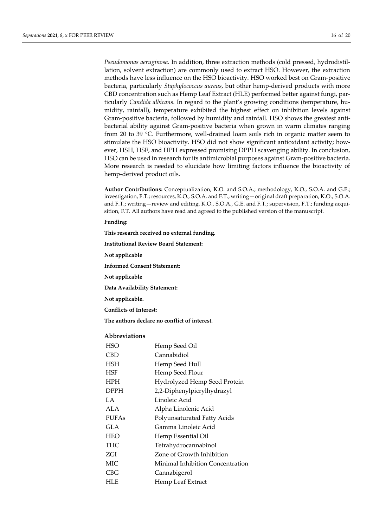*Pseudomonas aeruginosa*. In addition, three extraction methods (cold pressed, hydrodistillation, solvent extraction) are commonly used to extract HSO. However, the extraction methods have less influence on the HSO bioactivity. HSO worked best on Gram-positive bacteria, particularly *Staphylococcus aureus*, but other hemp-derived products with more CBD concentration such as Hemp Leaf Extract (HLE) performed better against fungi, particularly *Candida albicans*. In regard to the plant's growing conditions (temperature, humidity, rainfall), temperature exhibited the highest effect on inhibition levels against Gram-positive bacteria, followed by humidity and rainfall. HSO shows the greatest antibacterial ability against Gram-positive bacteria when grown in warm climates ranging from 20 to 39 °C. Furthermore, well-drained loam soils rich in organic matter seem to stimulate the HSO bioactivity. HSO did not show significant antioxidant activity; however, HSH, HSF, and HPH expressed promising DPPH scavenging ability. In conclusion, HSO can be used in research for its antimicrobial purposes against Gram-positive bacteria. More research is needed to elucidate how limiting factors influence the bioactivity of hemp-derived product oils.

**Author Contributions:** Conceptualization, K.O. and S.O.A.; methodology, K.O., S.O.A. and G.E.; investigation, F.T.; resources, K.O., S.O.A. and F.T.; writing—original draft preparation, K.O., S.O.A. and F.T.; writing—review and editing, K.O., S.O.A., G.E. and F.T.; supervision, F.T.; funding acquisition, F.T. All authors have read and agreed to the published version of the manuscript.

**Funding:**

**This research received no external funding.**

**Institutional Review Board Statement:**

**Not applicable**

**Informed Consent Statement:**

**Not applicable**

**Data Availability Statement:**

**Not applicable.**

**Conflicts of Interest:**

**The authors declare no conflict of interest.**

### **Abbreviations**

| <b>HSO</b>   | Hemp Seed Oil                    |
|--------------|----------------------------------|
| <b>CBD</b>   | Cannabidiol                      |
| <b>HSH</b>   | Hemp Seed Hull                   |
| <b>HSF</b>   | Hemp Seed Flour                  |
| <b>HPH</b>   | Hydrolyzed Hemp Seed Protein     |
| <b>DPPH</b>  | 2,2-Diphenylpicrylhydrazyl       |
| LA.          | Linoleic Acid                    |
| ALA          | Alpha Linolenic Acid             |
| <b>PUFAs</b> | Polyunsaturated Fatty Acids      |
| <b>GLA</b>   | Gamma Linoleic Acid              |
| <b>HEO</b>   | Hemp Essential Oil               |
| <b>THC</b>   | Tetrahydrocannabinol             |
| ZGI          | Zone of Growth Inhibition        |
| MIC          | Minimal Inhibition Concentration |
| CBG          | Cannabigerol                     |
| <b>HLE</b>   | Hemp Leaf Extract                |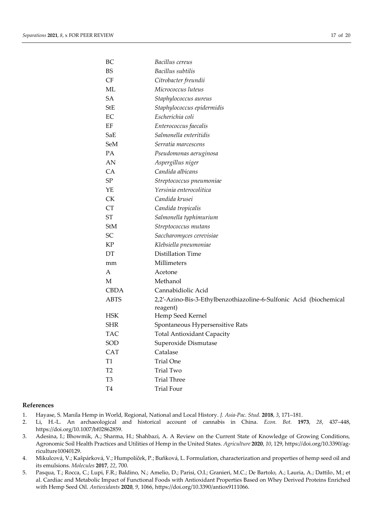| BС             | Bacillus cereus                                                                |
|----------------|--------------------------------------------------------------------------------|
| <b>BS</b>      | Bacillus subtilis                                                              |
| CF             | Citrobacter freundii                                                           |
| ML             | Micrococcus luteus                                                             |
| SA             | Staphylococcus aureus                                                          |
| StE            | Staphylococcus epidermidis                                                     |
| EC             | Escherichia coli                                                               |
| EF             | Enterococcus faecalis                                                          |
| SaE            | Salmonella enteritidis                                                         |
| SeM            | Serratia marcescens                                                            |
| <b>PA</b>      | Pseudomonas aeruginosa                                                         |
| AN             | Aspergillus niger                                                              |
| <b>CA</b>      | Candida albicans                                                               |
| SP             | Streptococcus pneumoniae                                                       |
| YE             | Yersinia enterocolitica                                                        |
| СK             | Candida krusei                                                                 |
| <b>CT</b>      | Candida tropicalis                                                             |
| ST             | Salmonella typhimurium                                                         |
| <b>StM</b>     | Streptococcus mutans                                                           |
| SC             | Saccharomyces cerevisiae                                                       |
| KP             | Klebsiella pneumoniae                                                          |
| DT             | Distillation Time                                                              |
| mm             | Millimeters                                                                    |
| А              | Acetone                                                                        |
| М              | Methanol                                                                       |
| <b>CBDA</b>    | Cannabidiolic Acid                                                             |
| <b>ABTS</b>    | 2,2'-Azino-Bis-3-Ethylbenzothiazoline-6-Sulfonic Acid (biochemical<br>reagent) |
| <b>HSK</b>     | Hemp Seed Kernel                                                               |
| <b>SHR</b>     | Spontaneous Hypersensitive Rats                                                |
| TAC            | Total Antioxidant Capacity                                                     |
| SOD            | Superoxide Dismutase                                                           |
| <b>CAT</b>     | Catalase                                                                       |
| T1             | <b>Trial One</b>                                                               |
| T <sub>2</sub> | <b>Trial Two</b>                                                               |
| T <sub>3</sub> | <b>Trial Three</b>                                                             |
| T4             | <b>Trial Four</b>                                                              |

#### **References**

- 1. Hayase, S. Manila Hemp in World, Regional, National and Local History. *J. Asia-Pac. Stud.* **2018**, *3*, 171–181.
- 2. Li, H.-L. An archaeological and historical account of cannabis in China. *Econ. Bot.* **1973**, *28*, 437–448, https://doi.org/10.1007/bf02862859.
- 3. Adesina, I.; Bhowmik, A.; Sharma, H.; Shahbazi, A. A Review on the Current State of Knowledge of Growing Conditions, Agronomic Soil Health Practices and Utilities of Hemp in the United States. *Agriculture* **2020**, *10*, 129, https://doi.org/10.3390/agriculture10040129.
- 4. Mikulcová, V.; Kašpárková, V.; Humpolíček, P.; Buňková, L. Formulation, characterization and properties of hemp seed oil and its emulsions. *Molecules* **2017**, *22*, 700.
- 5. Pasqua, T.; Rocca, C.; Lupi, F.R.; Baldino, N.; Amelio, D.; Parisi, O.I.; Granieri, M.C.; De Bartolo, A.; Lauria, A.; Dattilo, M.; et al. Cardiac and Metabolic Impact of Functional Foods with Antioxidant Properties Based on Whey Derived Proteins Enriched with Hemp Seed Oil. *Antioxidants* **2020**, *9*, 1066, https://doi.org/10.3390/antiox9111066.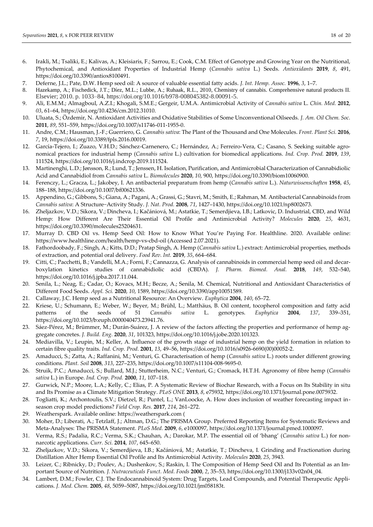- 6. Irakli, M.; Tsaliki, E.; Kalivas, A.; Kleisiaris, F.; Sarrou, E.; Cook, C.M. Effect οf Genotype and Growing Year on the Nutritional, Phytochemical, and Antioxidant Properties of Industrial Hemp (*Cannabis sativa* L.) Seeds. *Antioxidants* **2019**, *8*, 491, https://doi.org/10.3390/antiox8100491.
- 7. Deferne, J.L.; Pate, D.W. Hemp seed oil: A source of valuable essential fatty acids. *J. Int. Hemp. Assoc.* **1996**, *3*, 1–7.
- 8. Hazekamp, A.; Fischedick, J.T.; Díez, M.L.; Lubbe, A.; Ruhaak, R.L., 2010, Chemistry of cannabis. Comprehensive natural products II. Elsevier; 2010. p. 1033–84, https://doi.org/10.1016/b978-008045382-8.00091-5.
- 9. Ali, E.M.M.; Almagboul, A.Z.I.; Khogali, S.M.E.; Gergeir, U.M.A. Antimicrobial Activity of *Cannabis sativa* L. *Chin. Med.* **2012**, *03*, 61–64, https://doi.org/10.4236/cm.2012.31010.
- 10. Uluata, S.; Özdemir, N. Antioxidant Activities and Oxidative Stabilities of Some Unconventional Oilseeds. *J. Am. Oil Chem. Soc.* **2011**, *89*, 551–559, https://doi.org/10.1007/s11746-011-1955-0.
- 11. Andre, C.M.; Hausman, J.-F.; Guerriero, G. *Cannabis sativa*: The Plant of the Thousand and One Molecules. *Front. Plant Sci.* **2016**, *7*, 19, https://doi.org/10.3389/fpls.2016.00019.
- 12. García-Tejero, I.; Zuazo, V.H.D.; Sánchez-Carnenero, C.; Hernández, A.; Ferreiro-Vera, C.; Casano, S. Seeking suitable agronomical practices for industrial hemp (*Cannabis sativa* L.) cultivation for biomedical applications. *Ind. Crop. Prod.* **2019**, *139*, 111524, https://doi.org/10.1016/j.indcrop.2019.111524.
- 13. Martinenghi, L.D.; Jønsson, R.; Lund, T.; Jenssen, H. Isolation, Purification, and Antimicrobial Characterization of Cannabidiolic Acid and Cannabidiol from *Cannabis sativa* L. *Biomolecules* **2020**, *10*, 900, https://doi.org/10.3390/biom10060900.
- 14. Ferenczy, L.; Gracza, L.; Jakobey, I. An antibacterial preparatum from hemp (*Cannabis sativa* L.). *Naturwissenschaften* **1958**, *45*, 188–188, https://doi.org/10.1007/bf00621336.
- 15. Appendino, G.; Gibbons, S.; Giana, A.; Pagani, A.; Grassi, G.; Stavri, M.; Smith, E.; Rahman, M. Antibacterial Cannabinoids from *Cannabis sativa*: A Structure−Activity Study. *J. Nat. Prod.* **2008**, *71*, 1427–1430, https://doi.org/10.1021/np8002673.
- 16. Zheljazkov, V.D.; Sikora, V.; Dincheva, I.; Kačániová, M.; Astatkie, T.; Semerdjieva, I.B.; Latkovic, D. Industrial, CBD, and Wild Hemp: How Different Are Their Essential Oil Profile and Antimicrobial Activity? *Molecules* **2020**, *25*, 4631, https://doi.org/10.3390/molecules25204631.
- 17. Murray D. CBD Oil vs. Hemp Seed Oil: How to Know What You're Paying For. Healthline. 2020. Available online: https://www.healthline.com/health/hemp-vs-cbd-oil (Accessed 2.07.2021).
- 18. Fathordoobady, F.; Singh, A.; Kitts, D.D.; Pratap Singh, A. Hemp (*Cannabis sativa* L.) extract: Antimicrobial properties, methods of extraction, and potential oral delivery. *Food Rev. Int.* **2019**, *35*, 664–684.
- 19. Citti, C.; Pacchetti, B.; Vandelli, M.A.; Forni, F.; Cannazza, G. Analysis of cannabinoids in commercial hemp seed oil and decarboxylation kinetics studies of cannabidiolic acid (CBDA). *J. Pharm. Biomed. Anal.* **2018**, *149*, 532–540, https://doi.org/10.1016/j.jpba.2017.11.044.
- 20. Senila, L.; Neag, E.; Cadar, O.; Kovacs, M.H.; Becze, A.; Senila, M. Chemical, Nutritional and Antioxidant Characteristics of Different Food Seeds. *Appl. Sci.* **2020**, *10*, 1589, https://doi.org/10.3390/app10051589.
- 21. Callaway, J.C. Hemp seed as a Nutritional Resource: An Overview. *Euphytica* **2004**, *140*, 65–72.
- 22. Kriese, U.; Schumann, E.; Weber, W.; Beyer, M.; Brühl, L.; Matthäus, B. Oil content, tocopherol composition and fatty acid patterns of the seeds of 51 *Cannabis sativa* L. genotypes. *Euphytica* **2004**, *137*, 339–351, https://doi.org/10.1023/b:euph.0000040473.23941.76.
- 23. Sáez-Pérez, M.; Brümmer, M.; Durán-Suárez, J. A review of the factors affecting the properties and performance of hemp aggregate concretes. *J. Build. Eng.* **2020**, *31*, 101323, https://doi.org/10.1016/j.jobe.2020.101323.
- 24. Mediavilla, V.; Leupin, M.; Keller, A. Influence of the growth stage of industrial hemp on the yield formation in relation to certain fibre quality traits. *Ind. Crop. Prod.* **2001**, *13*, 49–56, https://doi.org/10.1016/s0926-6690(00)00052-2.
- 25. Amaducci, S.; Zatta, A.; Raffanini, M.; Venturi, G. Characterisation of hemp (*Cannabis sativa* L.) roots under different growing conditions. *Plant. Soil* **2008**, *313*, 227–235, https://doi.org/10.1007/s11104-008-9695-0.
- 26. Struik, P.C.; Amaducci, S.; Bullard, M.J.; Stutterheim, N.C.; Venturi, G.; Cromack, H.T.H. Agronomy of fibre hemp (*Cannabis sativa* L.) in Europe. *Ind. Crop. Prod.* **2000**, *11*, 107–118.
- 27. Gurwick, N.P.; Moore, L.A.; Kelly, C.; Elias, P. A Systematic Review of Biochar Research, with a Focus on Its Stability in situ and Its Promise as a Climate Mitigation Strategy. *PLoS ONE* **2013**, *8*, e75932, https://doi.org/10.1371/journal.pone.0075932.
- 28. Togliatti, K.; Archontoulis, S.V.; Dietzel, R.; Puntel, L.; VanLoocke, A. How does inclusion of weather forecasting impact inseason crop model predictions? *Field Crop. Res.* **2017**, *214*, 261–272.
- 29. Weatherspark. Available online: https://weatherspark.com (
- 30. Moher, D.; Liberati, A.; Tetzlaff, J.; Altman, D.G.; The PRISMA Group. Preferred Reporting Items for Systematic Reviews and Meta-Analyses: The PRISMA Statement. *PLoS Med.* **2009**, *6*, e1000097, https://doi.org/10.1371/journal.pmed.1000097.
- 31. Verma, R.S.; Padalia, R.C.; Verma, S.K.; Chauhan, A.; Darokar, M.P. The essential oil of 'bhang' (*Cannabis sativa* L.) for nonnarcotic applications. *Curr. Sci.* **2014**, *107*, 645–650.
- 32. Zheljazkov, V.D.; Sikora, V.; Semerdjieva, I.B.; Kačániová, M.; Astatkie, T.; Dincheva, I. Grinding and Fractionation during Distillation Alter Hemp Essential Oil Profile and Its Antimicrobial Activity. *Molecules* **2020**, *25*, 3943.
- 33. Leizer, C.; Ribnicky, D.; Poulev, A.; Dushenkov, S.; Raskin, I. The Composition of Hemp Seed Oil and Its Potential as an Important Source of Nutrition. *J. Nutraceuticals Funct. Med. Foods* **2000**, *2*, 35–53, https://doi.org/10.1300/j133v02n04\_04.
- 34. Lambert, D.M.; Fowler, C.J. The Endocannabinoid System: Drug Targets, Lead Compounds, and Potential Therapeutic Applications. *J. Med. Chem.* **2005**, *48*, 5059–5087, https://doi.org/10.1021/jm058183t.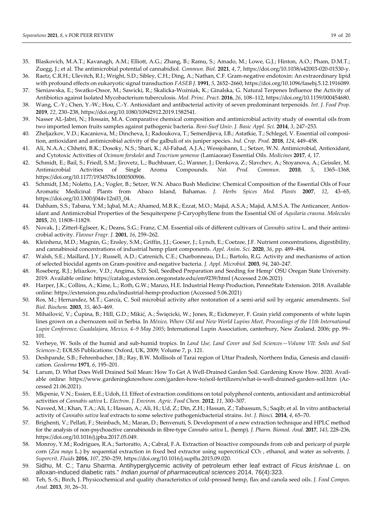- 35. Blaskovich, M.A.T.; Kavanagh, A.M.; Elliott, A.G.; Zhang, B.; Ramu, S.; Amado, M.; Lowe, G.J.; Hinton, A.O.; Pham, D.M.T.; Zuegg, J.; et al. The antimicrobial potential of cannabidiol. *Commun. Biol.* **2021**, *4*, 7, https://doi.org/10.1038/s42003-020-01530-y.
- 36. Raetz, C.R.H.; Ulevitch, R.I.; Wright, S.D.; Sibley, C.H.; Ding, A.; Nathan, C.F. Gram-negative endotoxin: An extraordinary lipid with profound effects on eukaryotic signal transduction *FASEB J.* **1991**, *5*, 2652–2660, https://doi.org/10.1096/fasebj.5.12.1916089.
- 37. Sieniawska, E.; Swatko-Ossor, M.; Sawicki, R.; Skalicka-Woźniak, K.; Ginalska, G. Natural Terpenes Influence the Activity of Antibiotics against Isolated Mycobacterium tuberculosis. *Med. Princ. Pract.* **2016**, *26*, 108–112, https://doi.org/10.1159/000454680.
- 38. Wang, C.-Y.; Chen, Y.-W.; Hou, C.-Y. Antioxidant and antibacterial activity of seven predominant terpenoids. *Int. J. Food Prop.* **2019**, *22*, 230–238, https://doi.org/10.1080/10942912.2019.1582541.
- 39. Nasser AL-Jabri, N.; Hossain, M.A. Comparative chemical composition and antimicrobial activity study of essential oils from two imported lemon fruits samples against pathogenic bacteria. *Beni-Suef Univ. J. Basic Appl. Sci.* **2014**, *3*, 247–253.
- 40. Zheljazkov, V.D.; Kacaniova, M.; Dincheva, I.; Radoukova, T.; Semerdjieva, I.B.; Astatkie, T.; Schlegel, V. Essential oil composition, antioxidant and antimicrobial activity of the galbuli of six juniper species. *Ind. Crop. Prod.* **2018**, *124*, 449–458.
- 41. Ali, N.A.A.; Chhetri, B.K.; Dosoky, N.S.; Shari, K.; Al-Fahad, A.J.A.; Wessjohann, L.; Setzer, W.N. Antimicrobial, Antioxidant, and Cytotoxic Activities of *Ocimum forskolei* and *Teucrium yemense* (Lamiaceae) Essential Oils. *Medicines* **2017**, *4*, 17.
- 42. Schmidt, E.; Bail, S.; Friedl, S.M.; Jirovetz, L.; Buchbauer, G.; Wanner, J.; Denkova, Z.; Slavchev, A.; Stoyanova, A.; Geissler, M. Antimicrobial Activities of Single Aroma Compounds. *Nat. Prod. Commun.* **2010**, *5*, 1365–1368, https://doi.org/10.1177/1934578x1000500906.
- 43. Schmidt, J.M.; Noletto, J.A.; Vogler, B.; Setzer, W.N. Abaco Bush Medicine: Chemical Composition of the Essential Oils of Four Aromatic Medicinal Plants from Abaco Island, Bahamas. *J. Herbs Spices Med. Plants* **2007**, *12*, 43–65, https://doi.org/10.1300/j044v12n03\_04.
- 44. Dahham, S.S.; Tabana, Y.M.; Iqbal, M.A.; Ahamed, M.B.K.; Ezzat, M.O.; Majid, A.S.A.; Majid, A.M.S.A. The Anticancer, Antioxidant and Antimicrobial Properties of the Sesquiterpene β-Caryophyllene from the Essential Oil of *Aquilaria crassna*. *Molecules* **2015**, *20*, 11808–11829.
- 45. Novak, J.; Zitterl-Eglseer, K.; Deans, S.G.; Franz, C.M. Essential oils of different cultivars of *Cannabis sativa* L. and their antimicrobial activity. *Flavour Fragr. J.* **2001**, *16*, 259–262.
- 46. Kleinhenz, M.D.; Magnin, G.; Ensley, S.M.; Griffin, J.J.; Goeser, J.; Lynch, E.; Coetzee, J.F. Nutrient concentrations, digestibility, and cannabinoid concentrations of industrial hemp plant components. *Appl. Anim. Sci.* **2020**, *36*, pp. 489–494.
- 47. Walsh, S.E.; Maillard, J.Y.; Russell, A.D.; Catrenich, C.E.; Charbonneau, D.L.; Bartolo, R.G. Activity and mechanisms of action of selected biocidal agents on Gram-positive and-negative bacteria. *J. Appl. Microbiol.* **2003**, *94*, 240–247.
- 48. Roseberg, R.J.; Jeliazkov, V.D.; Angima, S.D. Soil, Seedbed Preparation and Seeding for Hemp' OSU Oregan State University. 2019. Available online: https://catalog.extension.oregonstate.edu/em9239/html (Accessed 2.06.2021)
- 49. Harper, J.K.; Collins, A.; Kime, L.; Roth, G.W.; Manzo, H.E. Industrial Hemp Production, PenneState Extension. 2018. Available online: https://extension.psu.edu/industrial-hemp-production (Accessed 5.06.2021)
- 50. Ros, M.; Hernandez, M.T.; Garcı́a, C. Soil microbial activity after restoration of a semi-arid soil by organic amendments. *Soil Biol. Biochem.* **2003**, *35*, 463–469.
- 51. Mihailović, V.; Ćupina, B.; Hill, G.D.; Mikić, A.; Święcicki, W.; Jones, R.; Eickmeyer, F. Grain yield components of white lupin lines grown on a chernozem soil in Serbia. In *México, Where Old and New World Lupins Meet, Proceedings of the 11th International Lupin Conference, Guadalajara, Mexico, 4–9 May 2005*; International Lupin Association, canterbury, New Zealand. 2006; pp. 99– 101.
- 52. Verheye, W. Soils of the humid and sub-humid tropics. In *Land Use, Land Cover and Soil Sciences—Volume VII: Soils and Soil Sciences-2*; EOLSS Publications: Oxford, UK, 2009; Volume 7, p. 121.
- 53. Deshpande, S.B.; Fehrenbacher, J.B.; Ray, B.W. Mollisols of Tarai region of Uttar Pradesh, Northern India, Genesis and classification. *Geoderma* **1971**, *6*, 195–201.
- 54. Larum, D. What Does Well Drained Soil Mean: How To Get A Well-Drained Garden Soil. Gardening Know How. 2020. Available online: https://www.gardeningknowhow.com/garden-how-to/soil-fertilizers/what-is-well-drained-garden-soil.htm (Accessed 21.06.2021).
- 55. Mkpenie, V.N.; Essien, E.E.; Udoh, I.I. Effect of extraction conditions on total polyphenol contents, antioxidant and antimicrobial activities of *Cannabis sativa* L. *Electron. J. Environ. Agric. Food Chem.* **2012**, *11*, 300–307.
- 56. Naveed, M.; Khan, T.A.; Ali, I.; Hassan, A.; Ali, H.; Ud, Z.; Din, Z.H.; Hassan, Z.; Tabassum, S.; Saqib; et al. In vitro antibacterial activity of *Cannabis sativa* leaf extracts to some selective pathogenicbacterial strains. *Int. J. Biosci.* **2014**, *4*, 65–70.
- 57. Brighenti, V.; Pellati, F.; Steinbach, M.; Maran, D.; Benvenuti, S. Development of a new extraction technique and HPLC method for the analysis of non-psychoactive cannabinoids in fibre-type *Cannabis sativa* L. (hemp). *J. Pharm. Biomed. Anal.* **2017**, *143*, 228–236, https://doi.org/10.1016/j.jpba.2017.05.049.
- 58. Monroy, Y.M.; Rodrigues, R.A.; Sartoratto, A.; Cabral, F.A. Extraction of bioactive compounds from cob and pericarp of purple corn (*Zea mays* L.) by sequential extraction in fixed bed extractor using supercritical CO<sup>2</sup> , ethanol, and water as solvents. *J. Supercrit. Fluids* **2016**, *107*, 250–259, https://doi.org/10.1016/j.supflu.2015.09.020.
- 59. Sidhu, M. C.; Tanu Sharma. Antihyperglycemic activity of petroleum ether leaf extract of *Ficus krishnae L*. on alloxan-induced diabetic rats." *Indian journal of pharmaceutical sciences* 2014, 76(4):323.
- 60. Teh, S.-S.; Birch, J. Physicochemical and quality characteristics of cold-pressed hemp, flax and canola seed oils. *J. Food Compos. Anal.* **2013**, *30*, 26–31.